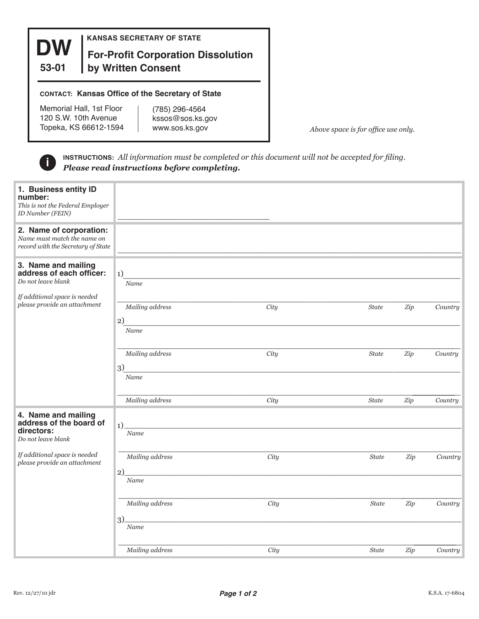

**KANSAS SECRETARY OF STATE**

## **For-Profit Corporation Dissolution by Written Consent**

## **CONTACT: Kansas Office of the Secretary of State**

Memorial Hall, 1st Floor 120 S.W. 10th Avenue Topeka, KS 66612-1594

(785) 296-4564 kssos@sos.ks.gov www.sos.ks.gov

*Above space is for office use only.*

**INSTRUCTIONS:** *All information must be completed or this document will not be accepted for filing.*  **Please read instructions before completed** 

| 1. Business entity ID<br>number:<br>This is not the Federal Employer<br>ID Number (FEIN)<br>2. Name of corporation:<br>Name must match the name on<br>record with the Secretary of State<br>3. Name and mailing<br>address of each officer:<br>Do not leave blank | 1)              |      |              |     |         |
|-------------------------------------------------------------------------------------------------------------------------------------------------------------------------------------------------------------------------------------------------------------------|-----------------|------|--------------|-----|---------|
| If additional space is needed                                                                                                                                                                                                                                     | Name            |      |              |     |         |
| please provide an attachment                                                                                                                                                                                                                                      | Mailing address | City | $State$      | Zip | Country |
|                                                                                                                                                                                                                                                                   | 2)<br>Name      |      |              |     |         |
|                                                                                                                                                                                                                                                                   | Mailing address | City | State        | Zip | Country |
|                                                                                                                                                                                                                                                                   | 3)<br>Name      |      |              |     |         |
|                                                                                                                                                                                                                                                                   | Mailing address | City | <b>State</b> | Zip | Country |
| 4. Name and mailing<br>address of the board of<br>directors:<br>Do not leave blank                                                                                                                                                                                | 1)<br>Name      |      |              |     |         |
| If additional space is needed<br>please provide an attachment                                                                                                                                                                                                     | Mailing address | City | <b>State</b> | Zip | Country |
|                                                                                                                                                                                                                                                                   | 2)<br>Name      |      |              |     |         |
|                                                                                                                                                                                                                                                                   | Mailing address | City | <b>State</b> | Zip | Country |
|                                                                                                                                                                                                                                                                   | 3)<br>Name      |      |              |     |         |
|                                                                                                                                                                                                                                                                   | Mailing address | City | <b>State</b> | Zip | Country |